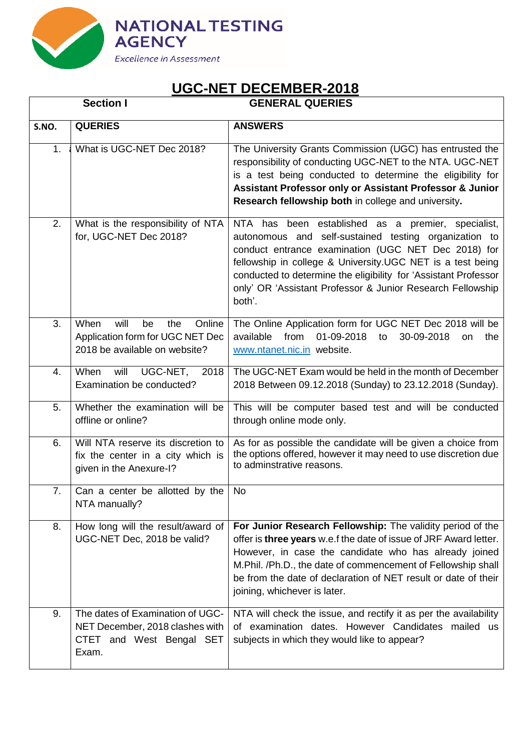

| <b>GENERAL QUERIES</b> |  |
|------------------------|--|

|       | <b>Section I</b>                                                                                         | <b>GENERAL QUERIES</b>                                                                                                                                                                                                                                                                                                                                                       |
|-------|----------------------------------------------------------------------------------------------------------|------------------------------------------------------------------------------------------------------------------------------------------------------------------------------------------------------------------------------------------------------------------------------------------------------------------------------------------------------------------------------|
| S.NO. | <b>QUERIES</b>                                                                                           | <b>ANSWERS</b>                                                                                                                                                                                                                                                                                                                                                               |
| 1.    | What is UGC-NET Dec 2018?                                                                                | The University Grants Commission (UGC) has entrusted the<br>responsibility of conducting UGC-NET to the NTA. UGC-NET<br>is a test being conducted to determine the eligibility for<br>Assistant Professor only or Assistant Professor & Junior<br>Research fellowship both in college and university.                                                                        |
| 2.    | What is the responsibility of NTA<br>for, UGC-NET Dec 2018?                                              | NTA has been established as a premier, specialist,<br>autonomous and self-sustained testing organization to<br>conduct entrance examination (UGC NET Dec 2018) for<br>fellowship in college & University. UGC NET is a test being<br>conducted to determine the eligibility for 'Assistant Professor<br>only' OR 'Assistant Professor & Junior Research Fellowship<br>both'. |
| 3.    | When<br>will<br>be<br>Online<br>the<br>Application form for UGC NET Dec<br>2018 be available on website? | The Online Application form for UGC NET Dec 2018 will be<br>available<br>from<br>01-09-2018<br>30-09-2018<br>to<br>the<br>on<br>www.ntanet.nic.in website.                                                                                                                                                                                                                   |
| 4.    | UGC-NET,<br>When<br>will<br>2018<br>Examination be conducted?                                            | The UGC-NET Exam would be held in the month of December<br>2018 Between 09.12.2018 (Sunday) to 23.12.2018 (Sunday).                                                                                                                                                                                                                                                          |
| 5.    | Whether the examination will be<br>offline or online?                                                    | This will be computer based test and will be conducted<br>through online mode only.                                                                                                                                                                                                                                                                                          |
| 6.    | Will NTA reserve its discretion to<br>fix the center in a city which is<br>given in the Anexure-I?       | As for as possible the candidate will be given a choice from<br>the options offered, however it may need to use discretion due<br>to adminstrative reasons.                                                                                                                                                                                                                  |
| 7.    | Can a center be allotted by the<br>NTA manually?                                                         | No                                                                                                                                                                                                                                                                                                                                                                           |
| 8.    | How long will the result/award of<br>UGC-NET Dec, 2018 be valid?                                         | For Junior Research Fellowship: The validity period of the<br>offer is three years w.e.f the date of issue of JRF Award letter.<br>However, in case the candidate who has already joined<br>M.Phil. /Ph.D., the date of commencement of Fellowship shall<br>be from the date of declaration of NET result or date of their<br>joining, whichever is later.                   |
| 9.    | The dates of Examination of UGC-<br>NET December, 2018 clashes with<br>CTET and West Bengal SET<br>Exam. | NTA will check the issue, and rectify it as per the availability<br>of examination dates. However Candidates mailed us<br>subjects in which they would like to appear?                                                                                                                                                                                                       |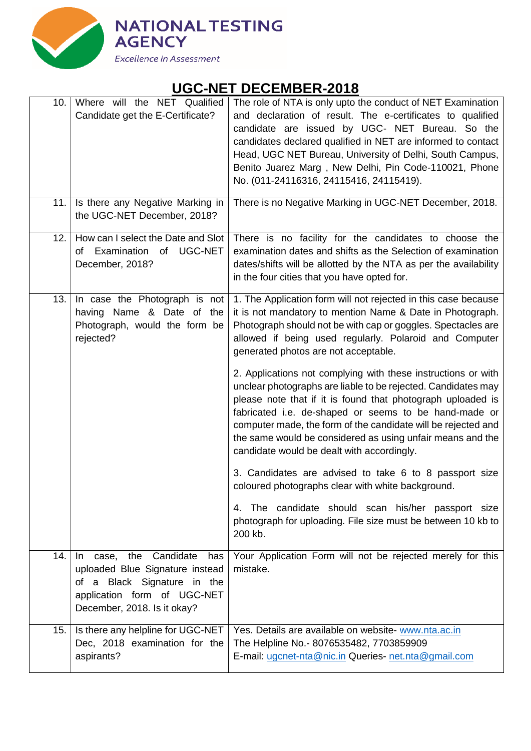

| 10. | Where will the NET Qualified<br>Candidate get the E-Certificate?                                                                                                        | The role of NTA is only upto the conduct of NET Examination<br>and declaration of result. The e-certificates to qualified<br>candidate are issued by UGC- NET Bureau. So the<br>candidates declared qualified in NET are informed to contact<br>Head, UGC NET Bureau, University of Delhi, South Campus,<br>Benito Juarez Marg, New Delhi, Pin Code-110021, Phone<br>No. (011-24116316, 24115416, 24115419).                        |
|-----|-------------------------------------------------------------------------------------------------------------------------------------------------------------------------|-------------------------------------------------------------------------------------------------------------------------------------------------------------------------------------------------------------------------------------------------------------------------------------------------------------------------------------------------------------------------------------------------------------------------------------|
|     | 11. Is there any Negative Marking in<br>the UGC-NET December, 2018?                                                                                                     | There is no Negative Marking in UGC-NET December, 2018.                                                                                                                                                                                                                                                                                                                                                                             |
| 12. | How can I select the Date and Slot<br>of Examination of UGC-NET<br>December, 2018?                                                                                      | There is no facility for the candidates to choose the<br>examination dates and shifts as the Selection of examination<br>dates/shifts will be allotted by the NTA as per the availability<br>in the four cities that you have opted for.                                                                                                                                                                                            |
| 13. | In case the Photograph is not<br>having Name & Date of the<br>Photograph, would the form be<br>rejected?                                                                | 1. The Application form will not rejected in this case because<br>it is not mandatory to mention Name & Date in Photograph.<br>Photograph should not be with cap or goggles. Spectacles are<br>allowed if being used regularly. Polaroid and Computer<br>generated photos are not acceptable.                                                                                                                                       |
|     |                                                                                                                                                                         | 2. Applications not complying with these instructions or with<br>unclear photographs are liable to be rejected. Candidates may<br>please note that if it is found that photograph uploaded is<br>fabricated i.e. de-shaped or seems to be hand-made or<br>computer made, the form of the candidate will be rejected and<br>the same would be considered as using unfair means and the<br>candidate would be dealt with accordingly. |
|     |                                                                                                                                                                         | 3. Candidates are advised to take 6 to 8 passport size<br>coloured photographs clear with white background.                                                                                                                                                                                                                                                                                                                         |
|     |                                                                                                                                                                         | The candidate should scan his/her passport size<br>4.<br>photograph for uploading. File size must be between 10 kb to<br>200 kb.                                                                                                                                                                                                                                                                                                    |
| 14. | Candidate<br>the<br>case,<br>has<br>In.<br>uploaded Blue Signature instead<br>of a Black Signature in the<br>application form of UGC-NET<br>December, 2018. Is it okay? | Your Application Form will not be rejected merely for this<br>mistake.                                                                                                                                                                                                                                                                                                                                                              |
| 15. | Is there any helpline for UGC-NET<br>Dec, 2018 examination for the<br>aspirants?                                                                                        | Yes. Details are available on website- www.nta.ac.in<br>The Helpline No.- 8076535482, 7703859909<br>E-mail: ugcnet-nta@nic.in Queries- net.nta@gmail.com                                                                                                                                                                                                                                                                            |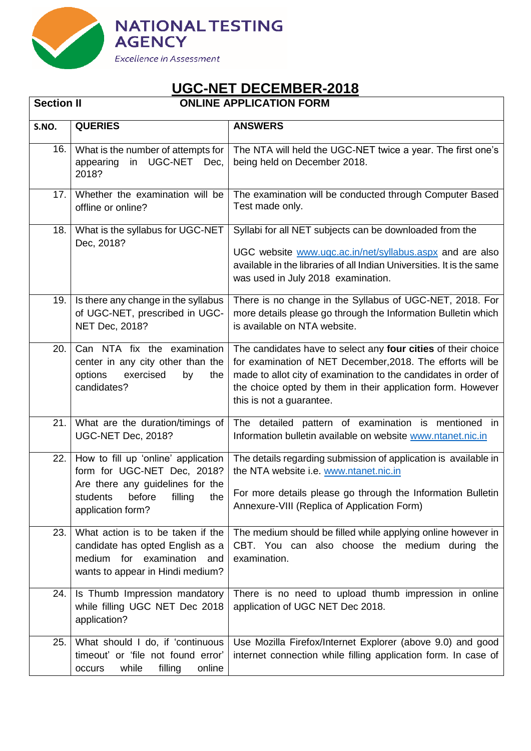

| <b>Section II</b> |                                                                                                                                         | <b>ONLINE APPLICATION FORM</b>                                                                                                                                                                                                                                                            |
|-------------------|-----------------------------------------------------------------------------------------------------------------------------------------|-------------------------------------------------------------------------------------------------------------------------------------------------------------------------------------------------------------------------------------------------------------------------------------------|
| S.NO.             | <b>QUERIES</b>                                                                                                                          | <b>ANSWERS</b>                                                                                                                                                                                                                                                                            |
| 16.               | What is the number of attempts for<br>UGC-NET Dec,<br>appearing<br>in<br>2018?                                                          | The NTA will held the UGC-NET twice a year. The first one's<br>being held on December 2018.                                                                                                                                                                                               |
| 17.1              | Whether the examination will be<br>offline or online?                                                                                   | The examination will be conducted through Computer Based<br>Test made only.                                                                                                                                                                                                               |
| 18.               | What is the syllabus for UGC-NET<br>Dec, 2018?                                                                                          | Syllabi for all NET subjects can be downloaded from the<br>UGC website www.ugc.ac.in/net/syllabus.aspx and are also<br>available in the libraries of all Indian Universities. It is the same<br>was used in July 2018 examination.                                                        |
| 19.1              | Is there any change in the syllabus<br>of UGC-NET, prescribed in UGC-<br>NET Dec, 2018?                                                 | There is no change in the Syllabus of UGC-NET, 2018. For<br>more details please go through the Information Bulletin which<br>is available on NTA website.                                                                                                                                 |
| 20.               | Can NTA fix the examination<br>center in any city other than the<br>options<br>exercised<br>the<br>by<br>candidates?                    | The candidates have to select any four cities of their choice<br>for examination of NET December, 2018. The efforts will be<br>made to allot city of examination to the candidates in order of<br>the choice opted by them in their application form. However<br>this is not a guarantee. |
| 21.               | What are the duration/timings of<br>UGC-NET Dec, 2018?                                                                                  | The detailed pattern of examination is mentioned in<br>Information bulletin available on website www.ntanet.nic.in                                                                                                                                                                        |
| 22.1              | How to fill up 'online' application<br>form for UGC-NET Dec, 2018?                                                                      | The details regarding submission of application is available in<br>the NTA website i.e. www.ntanet.nic.in                                                                                                                                                                                 |
|                   | Are there any guidelines for the<br>students before filling the<br>application form?                                                    | For more details please go through the Information Bulletin<br>Annexure-VIII (Replica of Application Form)                                                                                                                                                                                |
| 23.               | What action is to be taken if the<br>candidate has opted English as a<br>medium for examination and<br>wants to appear in Hindi medium? | The medium should be filled while applying online however in<br>CBT. You can also choose the medium during the<br>examination.                                                                                                                                                            |
| 24.1              | Is Thumb Impression mandatory<br>while filling UGC NET Dec 2018<br>application?                                                         | There is no need to upload thumb impression in online<br>application of UGC NET Dec 2018.                                                                                                                                                                                                 |
| 25.               | What should I do, if 'continuous<br>timeout' or 'file not found error'<br>while<br>filling<br>online<br>occurs                          | Use Mozilla Firefox/Internet Explorer (above 9.0) and good<br>internet connection while filling application form. In case of                                                                                                                                                              |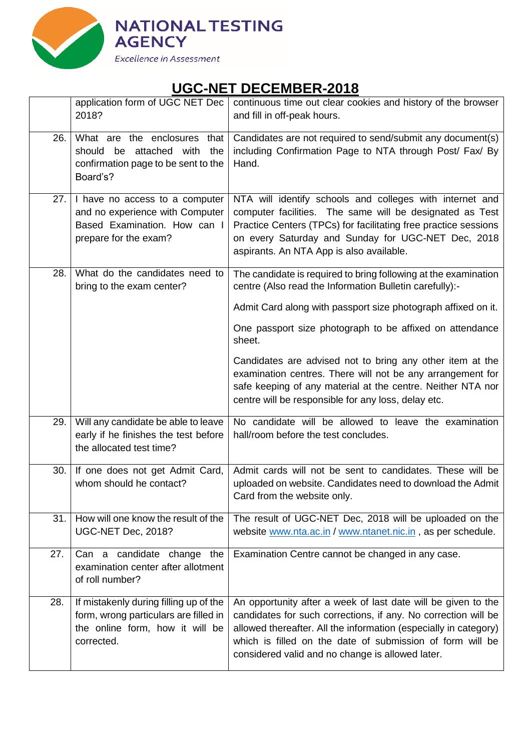

|     | application form of UGC NET Dec<br>2018?                                                                                         | continuous time out clear cookies and history of the browser<br>and fill in off-peak hours.                                                                                                                                                                                                                          |
|-----|----------------------------------------------------------------------------------------------------------------------------------|----------------------------------------------------------------------------------------------------------------------------------------------------------------------------------------------------------------------------------------------------------------------------------------------------------------------|
| 26. | What are the enclosures that<br>should be attached with<br>the<br>confirmation page to be sent to the<br>Board's?                | Candidates are not required to send/submit any document(s)<br>including Confirmation Page to NTA through Post/ Fax/ By<br>Hand.                                                                                                                                                                                      |
|     | 27. I have no access to a computer<br>and no experience with Computer<br>Based Examination. How can I<br>prepare for the exam?   | NTA will identify schools and colleges with internet and<br>computer facilities. The same will be designated as Test<br>Practice Centers (TPCs) for facilitating free practice sessions<br>on every Saturday and Sunday for UGC-NET Dec, 2018<br>aspirants. An NTA App is also available.                            |
| 28. | What do the candidates need to<br>bring to the exam center?                                                                      | The candidate is required to bring following at the examination<br>centre (Also read the Information Bulletin carefully):-                                                                                                                                                                                           |
|     |                                                                                                                                  | Admit Card along with passport size photograph affixed on it.                                                                                                                                                                                                                                                        |
|     |                                                                                                                                  | One passport size photograph to be affixed on attendance<br>sheet.                                                                                                                                                                                                                                                   |
|     |                                                                                                                                  | Candidates are advised not to bring any other item at the<br>examination centres. There will not be any arrangement for<br>safe keeping of any material at the centre. Neither NTA nor<br>centre will be responsible for any loss, delay etc.                                                                        |
| 29. | Will any candidate be able to leave<br>early if he finishes the test before<br>the allocated test time?                          | No candidate will be allowed to leave the examination<br>hall/room before the test concludes.                                                                                                                                                                                                                        |
| 30. | If one does not get Admit Card,<br>whom should he contact?                                                                       | Admit cards will not be sent to candidates. These will be<br>uploaded on website. Candidates need to download the Admit<br>Card from the website only.                                                                                                                                                               |
| 31. | How will one know the result of the<br>UGC-NET Dec, 2018?                                                                        | The result of UGC-NET Dec, 2018 will be uploaded on the<br>website www.nta.ac.in / www.ntanet.nic.in, as per schedule.                                                                                                                                                                                               |
| 27. | Can a candidate change the<br>examination center after allotment<br>of roll number?                                              | Examination Centre cannot be changed in any case.                                                                                                                                                                                                                                                                    |
| 28. | If mistakenly during filling up of the<br>form, wrong particulars are filled in<br>the online form, how it will be<br>corrected. | An opportunity after a week of last date will be given to the<br>candidates for such corrections, if any. No correction will be<br>allowed thereafter. All the information (especially in category)<br>which is filled on the date of submission of form will be<br>considered valid and no change is allowed later. |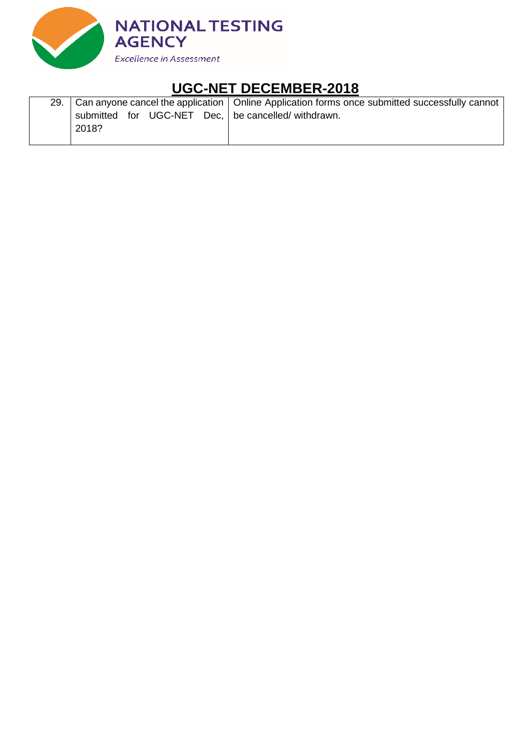

| 29. |       |  |  | Can anyone cancel the application   Online Application forms once submitted successfully cannot |
|-----|-------|--|--|-------------------------------------------------------------------------------------------------|
|     |       |  |  | submitted for UGC-NET Dec,   be cancelled/ withdrawn.                                           |
|     | 2018? |  |  |                                                                                                 |
|     |       |  |  |                                                                                                 |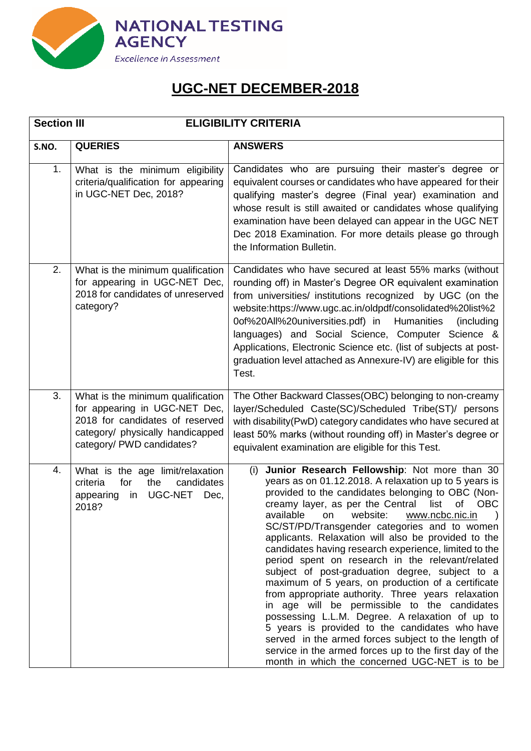

| <b>Section III</b> |                                                                                                                                                                        | <b>ELIGIBILITY CRITERIA</b>                                                                                                                                                                                                                                                                                                                                                                                                                                                                                                                                                                                                                                                                                                                                                                                                                                                                                                                                                   |  |
|--------------------|------------------------------------------------------------------------------------------------------------------------------------------------------------------------|-------------------------------------------------------------------------------------------------------------------------------------------------------------------------------------------------------------------------------------------------------------------------------------------------------------------------------------------------------------------------------------------------------------------------------------------------------------------------------------------------------------------------------------------------------------------------------------------------------------------------------------------------------------------------------------------------------------------------------------------------------------------------------------------------------------------------------------------------------------------------------------------------------------------------------------------------------------------------------|--|
| S.NO.              | <b>QUERIES</b>                                                                                                                                                         | <b>ANSWERS</b>                                                                                                                                                                                                                                                                                                                                                                                                                                                                                                                                                                                                                                                                                                                                                                                                                                                                                                                                                                |  |
| 1.                 | What is the minimum eligibility<br>criteria/qualification for appearing<br>in UGC-NET Dec, 2018?                                                                       | Candidates who are pursuing their master's degree or<br>equivalent courses or candidates who have appeared for their<br>qualifying master's degree (Final year) examination and<br>whose result is still awaited or candidates whose qualifying<br>examination have been delayed can appear in the UGC NET<br>Dec 2018 Examination. For more details please go through<br>the Information Bulletin.                                                                                                                                                                                                                                                                                                                                                                                                                                                                                                                                                                           |  |
| 2.                 | What is the minimum qualification<br>for appearing in UGC-NET Dec,<br>2018 for candidates of unreserved<br>category?                                                   | Candidates who have secured at least 55% marks (without<br>rounding off) in Master's Degree OR equivalent examination<br>from universities/ institutions recognized by UGC (on the<br>website:https://www.ugc.ac.in/oldpdf/consolidated%20list%2<br>0of%20All%20universities.pdf) in Humanities<br>(including<br>languages) and Social Science, Computer Science &<br>Applications, Electronic Science etc. (list of subjects at post-<br>graduation level attached as Annexure-IV) are eligible for this<br>Test.                                                                                                                                                                                                                                                                                                                                                                                                                                                            |  |
| 3.                 | What is the minimum qualification<br>for appearing in UGC-NET Dec,<br>2018 for candidates of reserved<br>category/ physically handicapped<br>category/ PWD candidates? | The Other Backward Classes(OBC) belonging to non-creamy<br>layer/Scheduled Caste(SC)/Scheduled Tribe(ST)/ persons<br>with disability(PwD) category candidates who have secured at<br>least 50% marks (without rounding off) in Master's degree or<br>equivalent examination are eligible for this Test.                                                                                                                                                                                                                                                                                                                                                                                                                                                                                                                                                                                                                                                                       |  |
| 4.                 | What is the age limit/relaxation<br>for<br>criteria<br>the<br>candidates<br>UGC-NET<br>appearing<br>Dec,<br>in<br>2018?                                                | Junior Research Fellowship: Not more than 30<br>(i)<br>years as on 01.12.2018. A relaxation up to 5 years is<br>provided to the candidates belonging to OBC (Non-<br>creamy layer, as per the Central list of OBC<br>www.ncbc.nic.in<br>available<br>website:<br>on<br>SC/ST/PD/Transgender categories and to women<br>applicants. Relaxation will also be provided to the<br>candidates having research experience, limited to the<br>period spent on research in the relevant/related<br>subject of post-graduation degree, subject to a<br>maximum of 5 years, on production of a certificate<br>from appropriate authority. Three years relaxation<br>in age will be permissible to the candidates<br>possessing L.L.M. Degree. A relaxation of up to<br>5 years is provided to the candidates who have<br>served in the armed forces subject to the length of<br>service in the armed forces up to the first day of the<br>month in which the concerned UGC-NET is to be |  |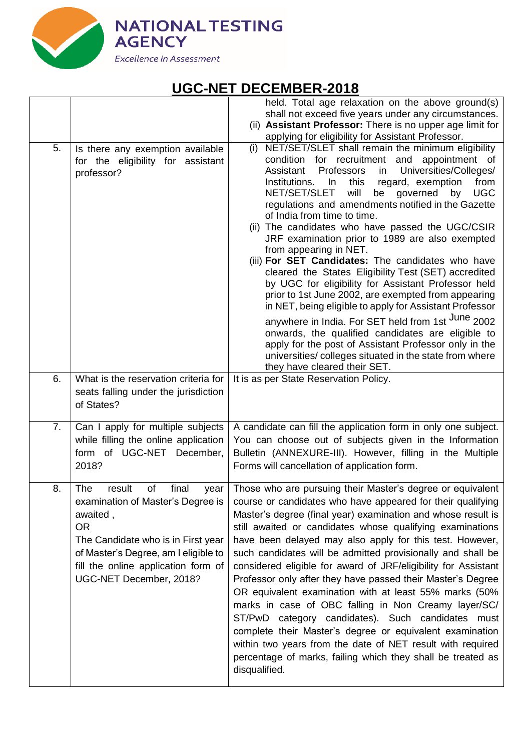

|    |                                                                                                                                                                                                                                                    | held. Total age relaxation on the above ground(s)<br>shall not exceed five years under any circumstances.                                                                                                                                                                                                                                                                                                                                                                                                                                                                                                                                                                                                                                                                                                                                                                                                                                                                                                                                                                    |
|----|----------------------------------------------------------------------------------------------------------------------------------------------------------------------------------------------------------------------------------------------------|------------------------------------------------------------------------------------------------------------------------------------------------------------------------------------------------------------------------------------------------------------------------------------------------------------------------------------------------------------------------------------------------------------------------------------------------------------------------------------------------------------------------------------------------------------------------------------------------------------------------------------------------------------------------------------------------------------------------------------------------------------------------------------------------------------------------------------------------------------------------------------------------------------------------------------------------------------------------------------------------------------------------------------------------------------------------------|
|    |                                                                                                                                                                                                                                                    | (ii) Assistant Professor: There is no upper age limit for<br>applying for eligibility for Assistant Professor.                                                                                                                                                                                                                                                                                                                                                                                                                                                                                                                                                                                                                                                                                                                                                                                                                                                                                                                                                               |
| 5. | Is there any exemption available<br>for the eligibility for assistant<br>professor?                                                                                                                                                                | (i) NET/SET/SLET shall remain the minimum eligibility<br>condition for recruitment and appointment of<br>Professors<br>Universities/Colleges/<br>Assistant<br>in<br>Institutions. In<br>this<br>regard, exemption<br>from<br>NET/SET/SLET<br>will<br><b>UGC</b><br>be<br>governed<br>by<br>regulations and amendments notified in the Gazette<br>of India from time to time.<br>(ii) The candidates who have passed the UGC/CSIR<br>JRF examination prior to 1989 are also exempted<br>from appearing in NET.<br>(iii) For SET Candidates: The candidates who have<br>cleared the States Eligibility Test (SET) accredited<br>by UGC for eligibility for Assistant Professor held<br>prior to 1st June 2002, are exempted from appearing<br>in NET, being eligible to apply for Assistant Professor<br>anywhere in India. For SET held from 1st <sup>June</sup> 2002<br>onwards, the qualified candidates are eligible to<br>apply for the post of Assistant Professor only in the<br>universities/colleges situated in the state from where<br>they have cleared their SET. |
| 6. | What is the reservation criteria for<br>seats falling under the jurisdiction<br>of States?                                                                                                                                                         | It is as per State Reservation Policy.                                                                                                                                                                                                                                                                                                                                                                                                                                                                                                                                                                                                                                                                                                                                                                                                                                                                                                                                                                                                                                       |
| 7. | Can I apply for multiple subjects<br>while filling the online application<br>form of UGC-NET<br>December,<br>2018?                                                                                                                                 | A candidate can fill the application form in only one subject.<br>You can choose out of subjects given in the Information<br>Bulletin (ANNEXURE-III). However, filling in the Multiple<br>Forms will cancellation of application form.                                                                                                                                                                                                                                                                                                                                                                                                                                                                                                                                                                                                                                                                                                                                                                                                                                       |
| 8. | final<br>The<br>result<br>of<br>year<br>examination of Master's Degree is<br>awaited,<br><b>OR</b><br>The Candidate who is in First year<br>of Master's Degree, am I eligible to<br>fill the online application form of<br>UGC-NET December, 2018? | Those who are pursuing their Master's degree or equivalent<br>course or candidates who have appeared for their qualifying<br>Master's degree (final year) examination and whose result is<br>still awaited or candidates whose qualifying examinations<br>have been delayed may also apply for this test. However,<br>such candidates will be admitted provisionally and shall be<br>considered eligible for award of JRF/eligibility for Assistant<br>Professor only after they have passed their Master's Degree<br>OR equivalent examination with at least 55% marks (50%<br>marks in case of OBC falling in Non Creamy layer/SC/<br>category candidates). Such candidates<br>ST/PwD<br>must<br>complete their Master's degree or equivalent examination<br>within two years from the date of NET result with required<br>percentage of marks, failing which they shall be treated as<br>disqualified.                                                                                                                                                                    |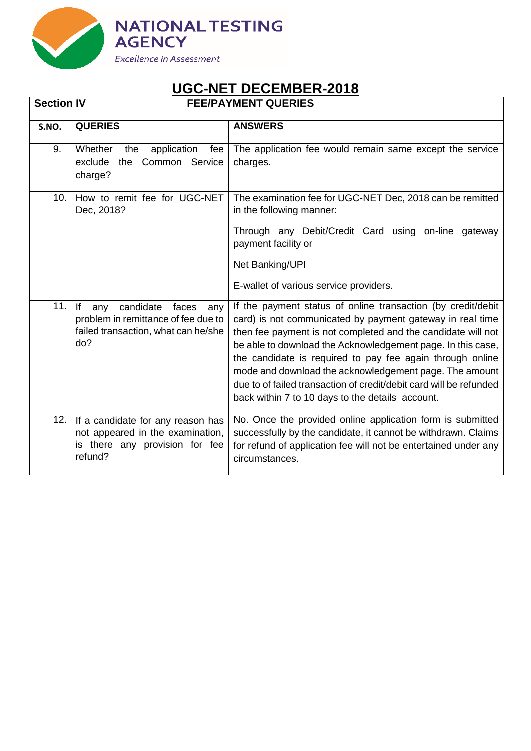

| <b>Section IV</b> |                                                                                                                              | <b>FEE/PAYMENT QUERIES</b>                                                                                                                                                                                                                                                                                                                                                                                                                                                                                |
|-------------------|------------------------------------------------------------------------------------------------------------------------------|-----------------------------------------------------------------------------------------------------------------------------------------------------------------------------------------------------------------------------------------------------------------------------------------------------------------------------------------------------------------------------------------------------------------------------------------------------------------------------------------------------------|
| S.NO.             | <b>QUERIES</b>                                                                                                               | <b>ANSWERS</b>                                                                                                                                                                                                                                                                                                                                                                                                                                                                                            |
| 9.                | Whether<br>application<br>the<br>fee<br>exclude<br>the Common Service<br>charge?                                             | The application fee would remain same except the service<br>charges.                                                                                                                                                                                                                                                                                                                                                                                                                                      |
| 10.               | How to remit fee for UGC-NET<br>Dec, 2018?                                                                                   | The examination fee for UGC-NET Dec, 2018 can be remitted<br>in the following manner:                                                                                                                                                                                                                                                                                                                                                                                                                     |
|                   |                                                                                                                              | Through any Debit/Credit Card using on-line gateway<br>payment facility or                                                                                                                                                                                                                                                                                                                                                                                                                                |
|                   |                                                                                                                              | Net Banking/UPI                                                                                                                                                                                                                                                                                                                                                                                                                                                                                           |
|                   |                                                                                                                              | E-wallet of various service providers.                                                                                                                                                                                                                                                                                                                                                                                                                                                                    |
| 11.               | lf.<br>candidate<br>faces<br>any<br>any<br>problem in remittance of fee due to<br>failed transaction, what can he/she<br>do? | If the payment status of online transaction (by credit/debit<br>card) is not communicated by payment gateway in real time<br>then fee payment is not completed and the candidate will not<br>be able to download the Acknowledgement page. In this case,<br>the candidate is required to pay fee again through online<br>mode and download the acknowledgement page. The amount<br>due to of failed transaction of credit/debit card will be refunded<br>back within 7 to 10 days to the details account. |
| 12.               | If a candidate for any reason has<br>not appeared in the examination,<br>is there any provision for fee<br>refund?           | No. Once the provided online application form is submitted<br>successfully by the candidate, it cannot be withdrawn. Claims<br>for refund of application fee will not be entertained under any<br>circumstances.                                                                                                                                                                                                                                                                                          |